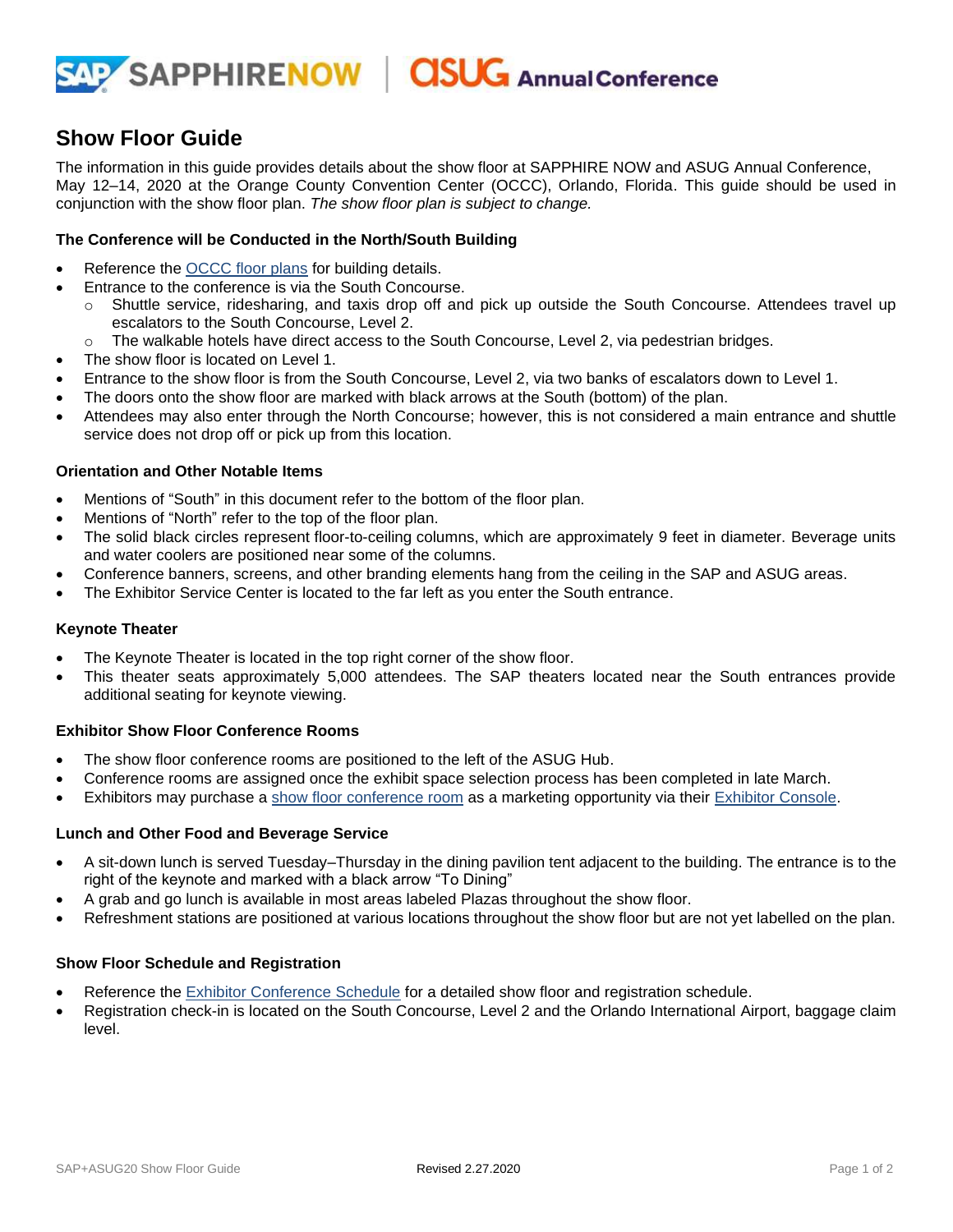

# **Show Floor Guide**

The information in this guide provides details about the show floor at SAPPHIRE NOW and ASUG Annual Conference, May 12–14, 2020 at the Orange County Convention Center (OCCC), Orlando, Florida. This guide should be used in conjunction with the show floor plan. *The show floor plan is subject to change.*

# **The Conference will be Conducted in the North/South Building**

- Reference the **OCCC** floor plans for building details.
- Entrance to the conference is via the South Concourse.
	- o Shuttle service, ridesharing, and taxis drop off and pick up outside the South Concourse. Attendees travel up escalators to the South Concourse, Level 2.
	- $\circ$  The walkable hotels have direct access to the South Concourse, Level 2, via pedestrian bridges.
- The show floor is located on Level 1.
- Entrance to the show floor is from the South Concourse, Level 2, via two banks of escalators down to Level 1.
- The doors onto the show floor are marked with black arrows at the South (bottom) of the plan.
- Attendees may also enter through the North Concourse; however, this is not considered a main entrance and shuttle service does not drop off or pick up from this location.

# **Orientation and Other Notable Items**

- Mentions of "South" in this document refer to the bottom of the floor plan.
- Mentions of "North" refer to the top of the floor plan.
- The solid black circles represent floor-to-ceiling columns, which are approximately 9 feet in diameter. Beverage units and water coolers are positioned near some of the columns.
- Conference banners, screens, and other branding elements hang from the ceiling in the SAP and ASUG areas.
- The Exhibitor Service Center is located to the far left as you enter the South entrance.

#### **Keynote Theater**

- The Keynote Theater is located in the top right corner of the show floor.
- This theater seats approximately 5,000 attendees. The SAP theaters located near the South entrances provide additional seating for keynote viewing.

#### **Exhibitor Show Floor Conference Rooms**

- The show floor conference rooms are positioned to the left of the ASUG Hub.
- Conference rooms are assigned once the exhibit space selection process has been completed in late March.
- Exhibitors may purchase a [show floor conference room](https://assets.dm.ux.sap.com/sa_te_materials/show_floor_confrm_info_sapasug20.pdf) as a marketing opportunity via their [Exhibitor Console.](https://events.sap.com/sapandasugexhibitors/en/console)

#### **Lunch and Other Food and Beverage Service**

- A sit-down lunch is served Tuesday–Thursday in the dining pavilion tent adjacent to the building. The entrance is to the right of the keynote and marked with a black arrow "To Dining"
- A grab and go lunch is available in most areas labeled Plazas throughout the show floor.
- Refreshment stations are positioned at various locations throughout the show floor but are not yet labelled on the plan.

#### **Show Floor Schedule and Registration**

- Reference the **Exhibitor Conference Schedule for a detailed show floor and registration schedule.**
- Registration check-in is located on the South Concourse, Level 2 and the Orlando International Airport, baggage claim level.